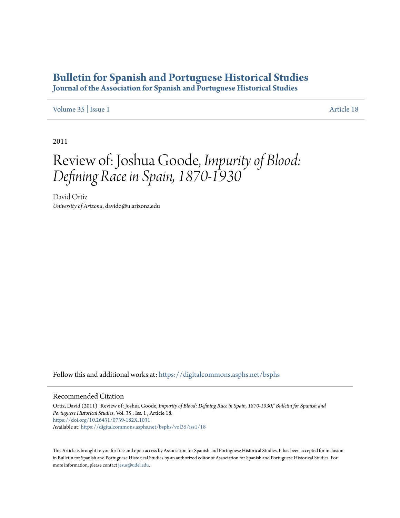## **[Bulletin for Spanish and Portuguese Historical Studies](https://digitalcommons.asphs.net/bsphs?utm_source=digitalcommons.asphs.net%2Fbsphs%2Fvol35%2Fiss1%2F18&utm_medium=PDF&utm_campaign=PDFCoverPages)**

**Journal of the Association for Spanish and Portuguese Historical Studies**

## [Volume 35](https://digitalcommons.asphs.net/bsphs/vol35?utm_source=digitalcommons.asphs.net%2Fbsphs%2Fvol35%2Fiss1%2F18&utm_medium=PDF&utm_campaign=PDFCoverPages) | [Issue 1](https://digitalcommons.asphs.net/bsphs/vol35/iss1?utm_source=digitalcommons.asphs.net%2Fbsphs%2Fvol35%2Fiss1%2F18&utm_medium=PDF&utm_campaign=PDFCoverPages) [Article 18](https://digitalcommons.asphs.net/bsphs/vol35/iss1/18?utm_source=digitalcommons.asphs.net%2Fbsphs%2Fvol35%2Fiss1%2F18&utm_medium=PDF&utm_campaign=PDFCoverPages)

2011

## Review of: Joshua Goode, *Impurity of Blood: Defining Race in Spain, 1870-1930*

David Ortiz *University of Arizona*, davido@u.arizona.edu

Follow this and additional works at: [https://digitalcommons.asphs.net/bsphs](https://digitalcommons.asphs.net/bsphs?utm_source=digitalcommons.asphs.net%2Fbsphs%2Fvol35%2Fiss1%2F18&utm_medium=PDF&utm_campaign=PDFCoverPages)

## Recommended Citation

Ortiz, David (2011) "Review of: Joshua Goode, *Impurity of Blood: Defining Race in Spain, 1870-1930*," *Bulletin for Spanish and Portuguese Historical Studies*: Vol. 35 : Iss. 1 , Article 18. <https://doi.org/10.26431/0739-182X.1031> Available at: [https://digitalcommons.asphs.net/bsphs/vol35/iss1/18](https://digitalcommons.asphs.net/bsphs/vol35/iss1/18?utm_source=digitalcommons.asphs.net%2Fbsphs%2Fvol35%2Fiss1%2F18&utm_medium=PDF&utm_campaign=PDFCoverPages)

This Article is brought to you for free and open access by Association for Spanish and Portuguese Historical Studies. It has been accepted for inclusion in Bulletin for Spanish and Portuguese Historical Studies by an authorized editor of Association for Spanish and Portuguese Historical Studies. For more information, please contact [jesus@udel.edu](mailto:jesus@udel.edu).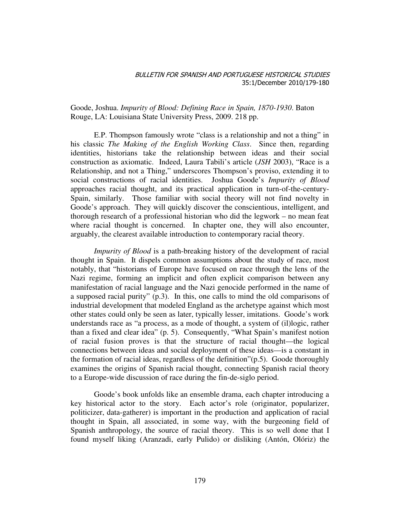Goode, Joshua. *Impurity of Blood: Defining Race in Spain, 1870-1930*. Baton Rouge, LA: Louisiana State University Press, 2009. 218 pp.

E.P. Thompson famously wrote "class is a relationship and not a thing" in his classic *The Making of the English Working Class*. Since then, regarding identities, historians take the relationship between ideas and their social construction as axiomatic. Indeed, Laura Tabili's article (*JSH* 2003), "Race is a Relationship, and not a Thing," underscores Thompson's proviso, extending it to social constructions of racial identities. Joshua Goode's *Impurity of Blood* approaches racial thought, and its practical application in turn-of-the-century-Spain, similarly. Those familiar with social theory will not find novelty in Goode's approach. They will quickly discover the conscientious, intelligent, and thorough research of a professional historian who did the legwork – no mean feat where racial thought is concerned. In chapter one, they will also encounter, arguably, the clearest available introduction to contemporary racial theory.

*Impurity of Blood* is a path-breaking history of the development of racial thought in Spain. It dispels common assumptions about the study of race, most notably, that "historians of Europe have focused on race through the lens of the Nazi regime, forming an implicit and often explicit comparison between any manifestation of racial language and the Nazi genocide performed in the name of a supposed racial purity" (p.3). In this, one calls to mind the old comparisons of industrial development that modeled England as the archetype against which most other states could only be seen as later, typically lesser, imitations. Goode's work understands race as "a process, as a mode of thought, a system of (il)logic, rather than a fixed and clear idea" (p. 5). Consequently, "What Spain's manifest notion of racial fusion proves is that the structure of racial thought—the logical connections between ideas and social deployment of these ideas—is a constant in the formation of racial ideas, regardless of the definition"(p.5). Goode thoroughly examines the origins of Spanish racial thought, connecting Spanish racial theory to a Europe-wide discussion of race during the fin-de-siglo period.

 Goode's book unfolds like an ensemble drama, each chapter introducing a key historical actor to the story. Each actor's role (originator, popularizer, politicizer, data-gatherer) is important in the production and application of racial thought in Spain, all associated, in some way, with the burgeoning field of Spanish anthropology, the source of racial theory. This is so well done that I found myself liking (Aranzadi, early Pulido) or disliking (Antón, Olóriz) the